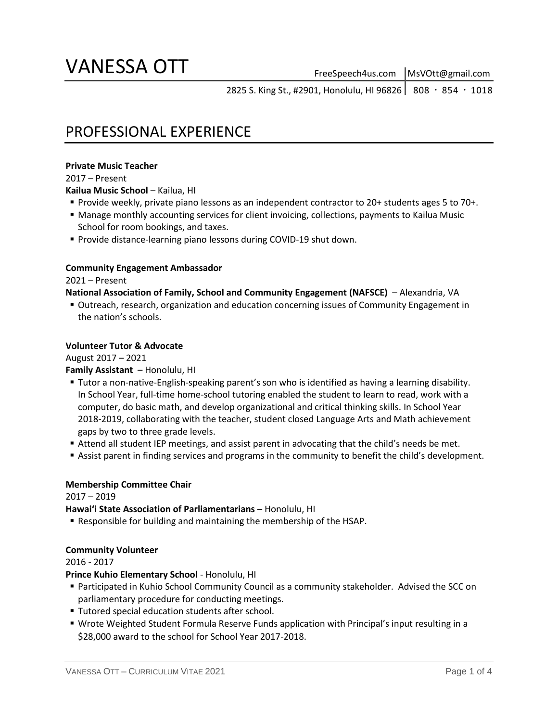# VANESSA OTT

2825 S. King St., #2901, Honolulu, HI 96826 | 808 · 854 · 1018

## PROFESSIONAL EXPERIENCE

#### **Private Music Teacher**

2017 – Present

**Kailua Music School** – Kailua, HI

- Provide weekly, private piano lessons as an independent contractor to 20+ students ages 5 to 70+.
- Manage monthly accounting services for client invoicing, collections, payments to Kailua Music School for room bookings, and taxes.
- **Provide distance-learning piano lessons during COVID-19 shut down.**

#### **Community Engagement Ambassador**

2021 – Present

#### **National Association of Family, School and Community Engagement (NAFSCE)** – Alexandria, VA

 Outreach, research, organization and education concerning issues of Community Engagement in the nation's schools.

#### **Volunteer Tutor & Advocate**

August 2017 – 2021

#### **Family Assistant** – Honolulu, HI

- Tutor a non-native-English-speaking parent's son who is identified as having a learning disability. In School Year, full-time home-school tutoring enabled the student to learn to read, work with a computer, do basic math, and develop organizational and critical thinking skills. In School Year 2018-2019, collaborating with the teacher, student closed Language Arts and Math achievement gaps by two to three grade levels.
- Attend all student IEP meetings, and assist parent in advocating that the child's needs be met.
- **Assist parent in finding services and programs in the community to benefit the child's development.**

#### **Membership Committee Chair**

2017 – 2019

**Hawaiʻi State Association of Parliamentarians** – Honolulu, HI

Responsible for building and maintaining the membership of the HSAP.

#### **Community Volunteer**

2016 - 2017

**Prince Kuhio Elementary School** - Honolulu, HI

- Participated in Kuhio School Community Council as a community stakeholder. Advised the SCC on parliamentary procedure for conducting meetings.
- **Tutored special education students after school.**
- Wrote Weighted Student Formula Reserve Funds application with Principal's input resulting in a \$28,000 award to the school for School Year 2017-2018.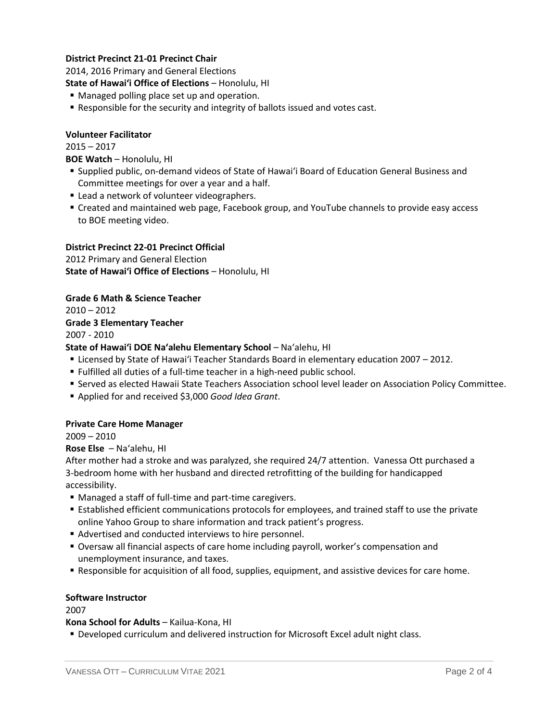#### **District Precinct 21-01 Precinct Chair**

2014, 2016 Primary and General Elections

**State of Hawaiʻi Office of Elections** – Honolulu, HI

- **Managed polling place set up and operation.**
- Responsible for the security and integrity of ballots issued and votes cast.

#### **Volunteer Facilitator**

2015 – 2017

**BOE Watch** – Honolulu, HI

- Supplied public, on-demand videos of State of Hawaiʻi Board of Education General Business and Committee meetings for over a year and a half.
- **Example 2** Lead a network of volunteer videographers.
- Created and maintained web page, Facebook group, and YouTube channels to provide easy access to BOE meeting video.

#### **District Precinct 22-01 Precinct Official**

2012 Primary and General Election **State of Hawaiʻi Office of Elections** – Honolulu, HI

#### **Grade 6 Math & Science Teacher**

 $2010 - 2012$ **Grade 3 Elementary Teacher** 2007 - 2010

#### **State of Hawaiʻi DOE Na'alehu Elementary School** – Na'alehu, HI

- Licensed by State of Hawaiʻi Teacher Standards Board in elementary education 2007 2012.
- Fulfilled all duties of a full-time teacher in a high-need public school.
- Served as elected Hawaii State Teachers Association school level leader on Association Policy Committee.
- Applied for and received \$3,000 *Good Idea Grant*.

#### **Private Care Home Manager**

2009 – 2010

#### **Rose Else** – Na'alehu, HI

After mother had a stroke and was paralyzed, she required 24/7 attention. Vanessa Ott purchased a 3-bedroom home with her husband and directed retrofitting of the building for handicapped accessibility.

- Managed a staff of full-time and part-time caregivers.
- Established efficient communications protocols for employees, and trained staff to use the private online Yahoo Group to share information and track patient's progress.
- Advertised and conducted interviews to hire personnel.
- Oversaw all financial aspects of care home including payroll, worker's compensation and unemployment insurance, and taxes.
- Responsible for acquisition of all food, supplies, equipment, and assistive devices for care home.

#### **Software Instructor**

2007

**Kona School for Adults** – Kailua-Kona, HI

Developed curriculum and delivered instruction for Microsoft Excel adult night class.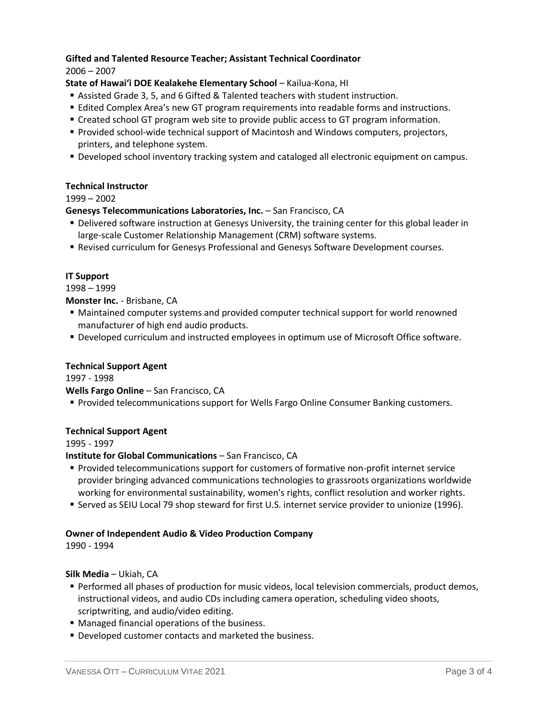#### **Gifted and Talented Resource Teacher; Assistant Technical Coordinator** 2006 – 2007

#### **State of Hawaiʻi DOE Kealakehe Elementary School** – Kailua-Kona, HI

- Assisted Grade 3, 5, and 6 Gifted & Talented teachers with student instruction.
- Edited Complex Area's new GT program requirements into readable forms and instructions.
- **Created school GT program web site to provide public access to GT program information.**
- Provided school-wide technical support of Macintosh and Windows computers, projectors, printers, and telephone system.
- Developed school inventory tracking system and cataloged all electronic equipment on campus.

#### **Technical Instructor**

#### 1999 – 2002

#### **Genesys Telecommunications Laboratories, Inc.** – San Francisco, CA

- Delivered software instruction at Genesys University, the training center for this global leader in large-scale Customer Relationship Management (CRM) software systems.
- Revised curriculum for Genesys Professional and Genesys Software Development courses.

#### **IT Support**

#### 1998 – 1999

#### **Monster Inc.** - Brisbane, CA

- Maintained computer systems and provided computer technical support for world renowned manufacturer of high end audio products.
- Developed curriculum and instructed employees in optimum use of Microsoft Office software.

#### **Technical Support Agent**

1997 - 1998

**Wells Fargo Online** – San Francisco, CA

**Provided telecommunications support for Wells Fargo Online Consumer Banking customers.** 

#### **Technical Support Agent**

1995 - 1997

#### **Institute for Global Communications** – San Francisco, CA

- Provided telecommunications support for customers of formative non-profit internet service provider bringing advanced communications technologies to grassroots organizations worldwide working for environmental sustainability, women's rights, conflict resolution and worker rights.
- Served as SEIU Local 79 shop steward for first U.S. internet service provider to unionize (1996).

#### **Owner of Independent Audio & Video Production Company**

1990 - 1994

**Silk Media** – Ukiah, CA

- Performed all phases of production for music videos, local television commercials, product demos, instructional videos, and audio CDs including camera operation, scheduling video shoots, scriptwriting, and audio/video editing.
- Managed financial operations of the business.
- **Developed customer contacts and marketed the business.**